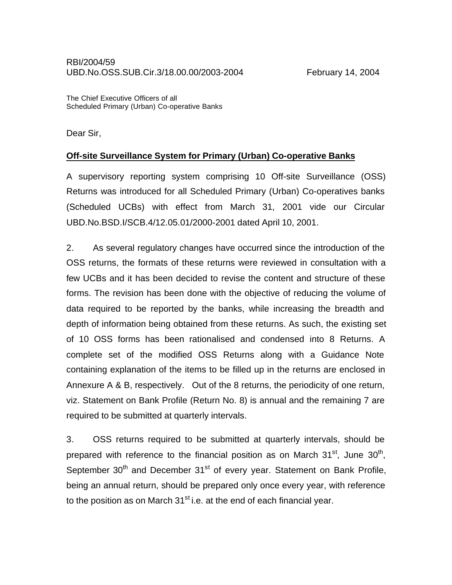The Chief Executive Officers of all Scheduled Primary (Urban) Co-operative Banks

Dear Sir,

## **Off-site Surveillance System for Primary (Urban) Co-operative Banks**

A supervisory reporting system comprising 10 Off-site Surveillance (OSS) Returns was introduced for all Scheduled Primary (Urban) Co-operatives banks (Scheduled UCBs) with effect from March 31, 2001 vide our Circular UBD.No.BSD.I/SCB.4/12.05.01/2000-2001 dated April 10, 2001.

2. As several regulatory changes have occurred since the introduction of the OSS returns, the formats of these returns were reviewed in consultation with a few UCBs and it has been decided to revise the content and structure of these forms. The revision has been done with the objective of reducing the volume of data required to be reported by the banks, while increasing the breadth and depth of information being obtained from these returns. As such, the existing set of 10 OSS forms has been rationalised and condensed into 8 Returns. A complete set of the modified OSS Returns along with a Guidance Note containing explanation of the items to be filled up in the returns are enclosed in Annexure A & B, respectively. Out of the 8 returns, the periodicity of one return, viz. Statement on Bank Profile (Return No. 8) is annual and the remaining 7 are required to be submitted at quarterly intervals.

3. OSS returns required to be submitted at quarterly intervals, should be prepared with reference to the financial position as on March 31<sup>st</sup>, June 30<sup>th</sup>, September  $30<sup>th</sup>$  and December  $31<sup>st</sup>$  of every year. Statement on Bank Profile, being an annual return, should be prepared only once every year, with reference to the position as on March  $31<sup>st</sup>$  i.e. at the end of each financial year.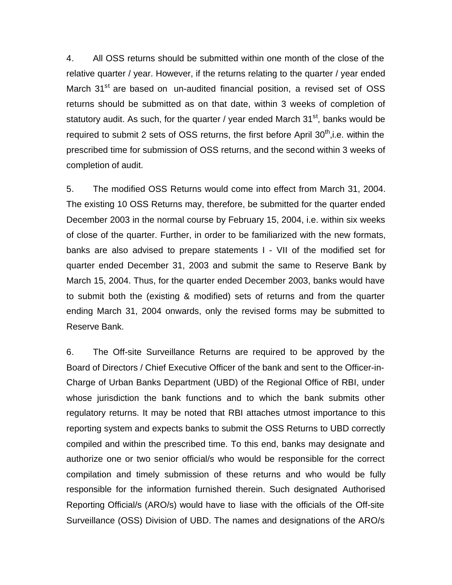4. All OSS returns should be submitted within one month of the close of the relative quarter / year. However, if the returns relating to the quarter / year ended March 31<sup>st</sup> are based on un-audited financial position, a revised set of OSS returns should be submitted as on that date, within 3 weeks of completion of statutory audit. As such, for the quarter / year ended March  $31<sup>st</sup>$ , banks would be required to submit 2 sets of OSS returns, the first before April  $30<sup>th</sup>$ , i.e. within the prescribed time for submission of OSS returns, and the second within 3 weeks of completion of audit.

5. The modified OSS Returns would come into effect from March 31, 2004. The existing 10 OSS Returns may, therefore, be submitted for the quarter ended December 2003 in the normal course by February 15, 2004, i.e. within six weeks of close of the quarter. Further, in order to be familiarized with the new formats, banks are also advised to prepare statements I - VII of the modified set for quarter ended December 31, 2003 and submit the same to Reserve Bank by March 15, 2004. Thus, for the quarter ended December 2003, banks would have to submit both the (existing & modified) sets of returns and from the quarter ending March 31, 2004 onwards, only the revised forms may be submitted to Reserve Bank.

6. The Off-site Surveillance Returns are required to be approved by the Board of Directors / Chief Executive Officer of the bank and sent to the Officer-in-Charge of Urban Banks Department (UBD) of the Regional Office of RBI, under whose jurisdiction the bank functions and to which the bank submits other regulatory returns. It may be noted that RBI attaches utmost importance to this reporting system and expects banks to submit the OSS Returns to UBD correctly compiled and within the prescribed time. To this end, banks may designate and authorize one or two senior official/s who would be responsible for the correct compilation and timely submission of these returns and who would be fully responsible for the information furnished therein. Such designated Authorised Reporting Official/s (ARO/s) would have to liase with the officials of the Off-site Surveillance (OSS) Division of UBD. The names and designations of the ARO/s